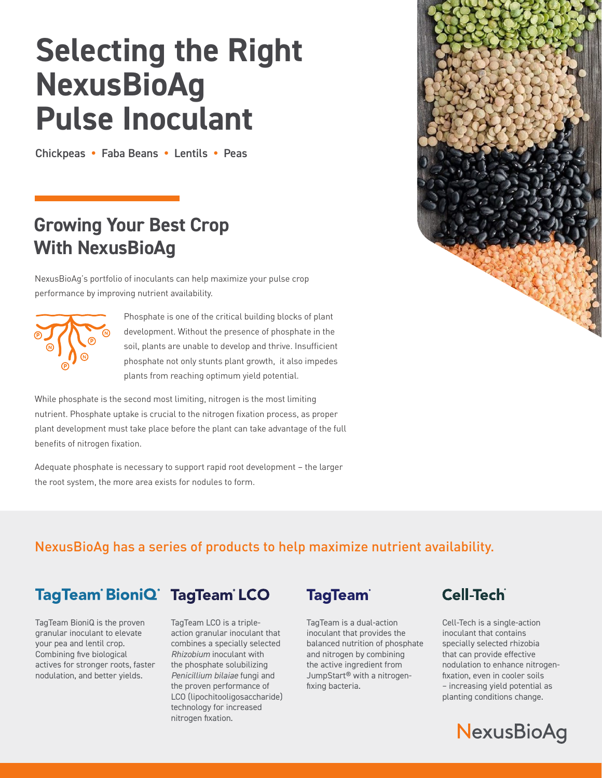# **Selecting the Right NexusBioAg Pulse Inoculant**

Chickpeas **•** Faba Beans **•** Lentils **•** Peas

## **Growing Your Best Crop With NexusBioAg**

NexusBioAg's portfolio of inoculants can help maximize your pulse crop performance by improving nutrient availability.



Phosphate is one of the critical building blocks of plant development. Without the presence of phosphate in the soil, plants are unable to develop and thrive. Insufficient phosphate not only stunts plant growth, it also impedes plants from reaching optimum yield potential.

While phosphate is the second most limiting, nitrogen is the most limiting nutrient. Phosphate uptake is crucial to the nitrogen fixation process, as proper plant development must take place before the plant can take advantage of the full benefits of nitrogen fixation.

Adequate phosphate is necessary to support rapid root development – the larger the root system, the more area exists for nodules to form.



#### NexusBioAg has a series of products to help maximize nutrient availability.

#### TagTeam BioniQ TagTeam LCO

TagTeam BioniQ is the proven granular inoculant to elevate your pea and lentil crop. Combining five biological actives for stronger roots, faster nodulation, and better yields.

TagTeam LCO is a tripleaction granular inoculant that combines a specially selected *Rhizobium* inoculant with the phosphate solubilizing *Penicillium bilaiae* fungi and the proven performance of LCO (lipochitooligosaccharide) technology for increased nitrogen fixation.



TagTeam is a dual-action inoculant that provides the balanced nutrition of phosphate and nitrogen by combining the active ingredient from JumpStart® with a nitrogenfixing bacteria.



Cell-Tech is a single-action inoculant that contains specially selected rhizobia that can provide effective nodulation to enhance nitrogenfixation, even in cooler soils – increasing yield potential as planting conditions change.